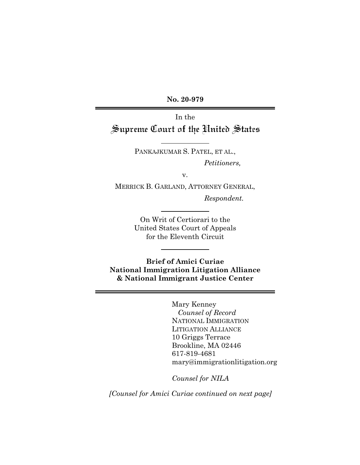**No. 20-979** 

In the Supreme Court of the United States

> PANKAJKUMAR S. PATEL, ET AL., *Petitioners,*

> > v.

MERRICK B. GARLAND, ATTORNEY GENERAL,

*Respondent.* 

On Writ of Certiorari to the United States Court of Appeals for the Eleventh Circuit

**Brief of Amici Curiae National Immigration Litigation Alliance & National Immigrant Justice Center** 

> Mary Kenney  *Counsel of Record*  NATIONAL IMMIGRATION LITIGATION ALLIANCE 10 Griggs Terrace Brookline, MA 02446 617-819-4681 mary@immigrationlitigation.org

*Counsel for NILA*

*[Counsel for Amici Curiae continued on next page]*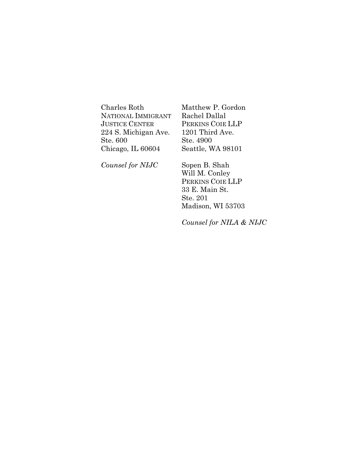Charles Roth NATIONAL IMMIGRANT JUSTICE CENTER 224 S. Michigan Ave. Ste. 600 Chicago, IL 60604

Matthew P. Gordon Rachel Dallal PERKINS COIE LLP 1201 Third Ave. Ste. 4900 Seattle, WA 98101

*Counsel for NIJC* 

Sopen B. Shah Will M. Conley PERKINS COIE LLP 33 E. Main St. Ste. 201 Madison, WI 53703

*Counsel for NILA & NIJC*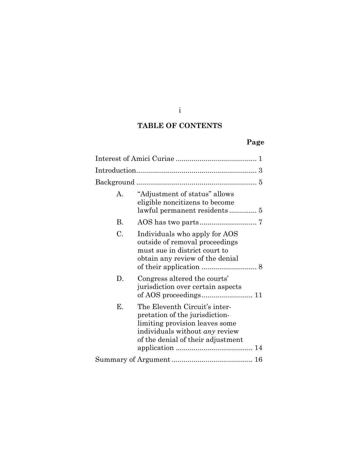i

## **TABLE OF CONTENTS**

# **Page**

| $\mathbf{A}$ | "Adjustment of status" allows<br>eligible noncitizens to become                                                                                                                 |
|--------------|---------------------------------------------------------------------------------------------------------------------------------------------------------------------------------|
| В.           |                                                                                                                                                                                 |
| C.           | Individuals who apply for AOS<br>outside of removal proceedings<br>must sue in district court to<br>obtain any review of the denial                                             |
| D.           | Congress altered the courts'<br>jurisdiction over certain aspects                                                                                                               |
| Ε.           | The Eleventh Circuit's inter-<br>pretation of the jurisdiction-<br>limiting provision leaves some<br>individuals without <i>any</i> review<br>of the denial of their adjustment |
|              |                                                                                                                                                                                 |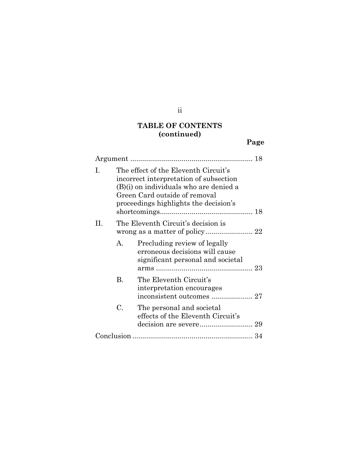## **TABLE OF CONTENTS (continued)**

**Page**

| I. |              | The effect of the Eleventh Circuit's<br>incorrect interpretation of subsection<br>(B)(i) on individuals who are denied a<br>Green Card outside of removal<br>proceedings highlights the decision's |
|----|--------------|----------------------------------------------------------------------------------------------------------------------------------------------------------------------------------------------------|
| H. |              | The Eleventh Circuit's decision is                                                                                                                                                                 |
|    | $\mathsf{A}$ | Precluding review of legally<br>erroneous decisions will cause<br>significant personal and societal                                                                                                |
|    | B.           | The Eleventh Circuit's<br>interpretation encourages                                                                                                                                                |
|    | C.           | The personal and societal<br>effects of the Eleventh Circuit's                                                                                                                                     |
|    |              |                                                                                                                                                                                                    |

ii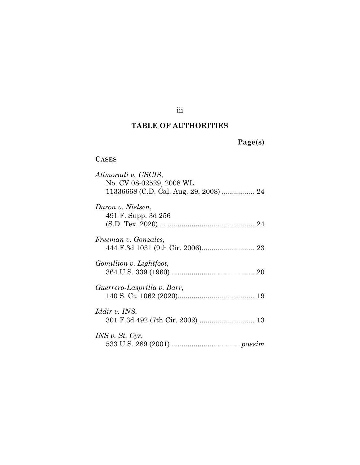### iii

## **TABLE OF AUTHORITIES**

# **Page(s)**

### **CASES**

| Alimoradi v. USCIS,                    |
|----------------------------------------|
| No. CV 08-02529, 2008 WL               |
| 11336668 (C.D. Cal. Aug. 29, 2008)  24 |
|                                        |
| Duron v. Nielsen,                      |
| 491 F. Supp. 3d 256                    |
|                                        |
|                                        |
| Freeman v. Gonzales,                   |
|                                        |
|                                        |
| Gomillion v. Lightfoot,                |
|                                        |
|                                        |
| Guerrero-Lasprilla v. Barr,            |
|                                        |
| <i>Iddir v. INS,</i>                   |
|                                        |
|                                        |
| INS v. St. Cyr,                        |
|                                        |
|                                        |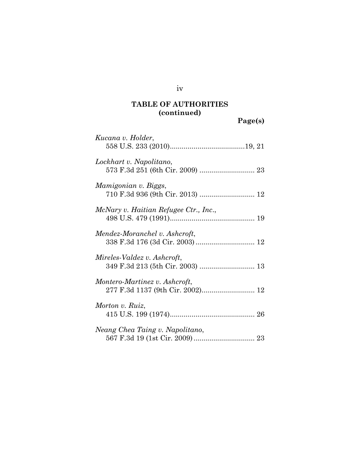**Page(s)**

| Kucana v. Holder,                                               |
|-----------------------------------------------------------------|
| Lockhart v. Napolitano,                                         |
| Mamigonian v. Biggs,                                            |
| McNary v. Haitian Refugee Ctr., Inc.,                           |
| Mendez-Moranchel v. Ashcroft,<br>338 F.3d 176 (3d Cir. 2003) 12 |
| Mireles-Valdez v. Ashcroft,                                     |
| Montero-Martinez v. Ashcroft,                                   |
| Morton v. Ruiz,                                                 |
| Neang Chea Taing v. Napolitano,                                 |

iv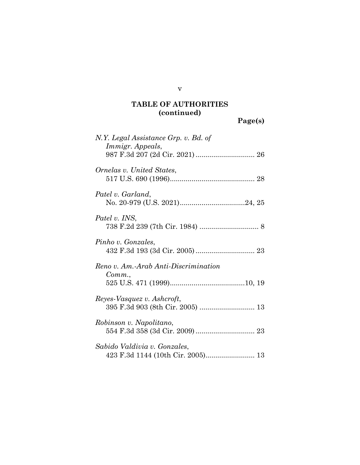**Page(s)**

| N.Y. Legal Assistance Grp. v. Bd. of<br>Immigr. Appeals, |
|----------------------------------------------------------|
| Ornelas v. United States,                                |
| Patel v. Garland,                                        |
| Patel v. INS,                                            |
| Pinho v. Gonzales,                                       |
| Reno v. Am.-Arab Anti-Discrimination<br>Comm.            |
| Reyes-Vasquez v. Ashcroft,                               |
| Robinson v. Napolitano,                                  |
| Sabido Valdivia v. Gonzales,                             |

v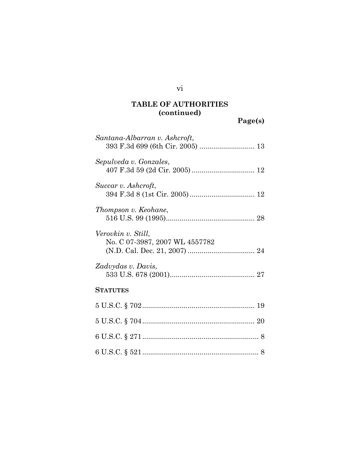**Page(s)**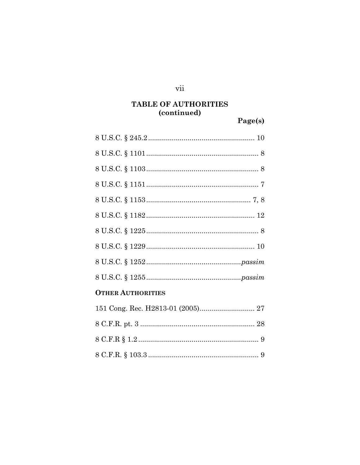### vii

# **TABLE OF AUTHORITIES** (continued)

Page(s)

| <b>OTHER AUTHORITIES</b> |
|--------------------------|
|                          |
|                          |
|                          |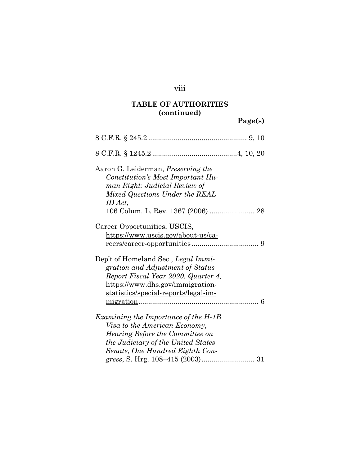## viii

# **TABLE OF AUTHORITIES (continued)**

# **Page(s)**

| Aaron G. Leiderman, <i>Preserving the</i><br>Constitution's Most Important Hu-<br>man Right: Judicial Review of<br>Mixed Questions Under the REAL<br>ID Act,<br>106 Colum. L. Rev. 1367 (2006)  28 |
|----------------------------------------------------------------------------------------------------------------------------------------------------------------------------------------------------|
| Career Opportunities, USCIS,<br>https://www.uscis.gov/about-us/ca-<br>9                                                                                                                            |
| Dep't of Homeland Sec., Legal Immi-<br>gration and Adjustment of Status<br>Report Fiscal Year 2020, Quarter 4,<br>https://www.dhs.gov/immigration-<br>statistics/special-reports/legal-im-<br>6    |
| Examining the Importance of the H-1B<br>Visa to the American Economy,<br><i>Hearing Before the Committee on</i><br>the Judiciary of the United States<br>Senate, One Hundred Eighth Con-           |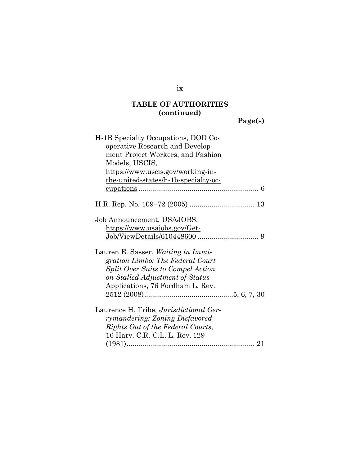**Page(s)**

### ix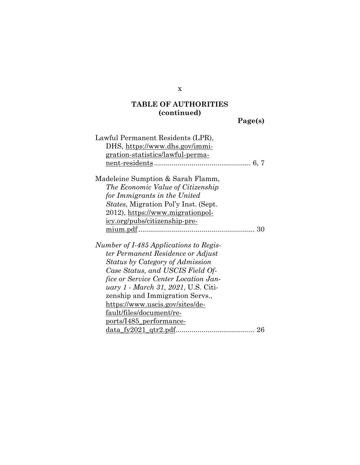**Page(s)**

| Lawful Permanent Residents (LPR),           |
|---------------------------------------------|
| DHS, https://www.dhs.gov/immi-              |
| <u>gration-statistics/lawful-perma-</u>     |
|                                             |
| Madeleine Sumption & Sarah Flamm,           |
| The Economic Value of Citizenship           |
| for Immigrants in the United                |
| <i>States, Migration Pol'y Inst. (Sept.</i> |
| 2012), https://www.migrationpol-            |
| icy.org/pubs/citizenship-pre-               |
|                                             |
| Number of I-485 Applications to Regis-      |
| ter Permanent Residence or Adjust           |
| Status by Category of Admission             |
| Case Status, and USCIS Field Of-            |
| <i>fice or Service Center Location Jan-</i> |
| uary 1 - March 31, 2021, U.S. Citi-         |
| zenship and Immigration Servs.,             |
| <u>https://www.uscis.gov/sites/de-</u>      |
| <u>fault/files/document/re-</u>             |
| <u>ports/I485_performance-</u>              |
|                                             |

x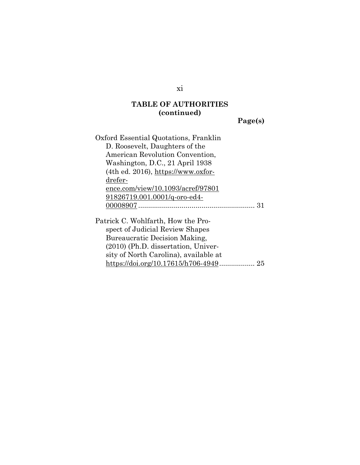**Page(s)**

| Oxford Essential Quotations, Franklin |  |
|---------------------------------------|--|
| D. Roosevelt, Daughters of the        |  |
| American Revolution Convention,       |  |
| Washington, D.C., 21 April 1938       |  |
| (4th ed. 2016), https://www.oxfor-    |  |
| drefer-                               |  |
| ence.com/view/10.1093/acref/97801     |  |
| 91826719.001.0001/q-oro-ed4-          |  |
|                                       |  |
| Patrick C. Wohlfarth, How the Pro-    |  |
| spect of Judicial Review Shapes       |  |
| Bureaucratic Decision Making,         |  |
| $(2010)$ (Ph.D. dissertation, Univer- |  |
| sity of North Carolina), available at |  |
| 25                                    |  |

xi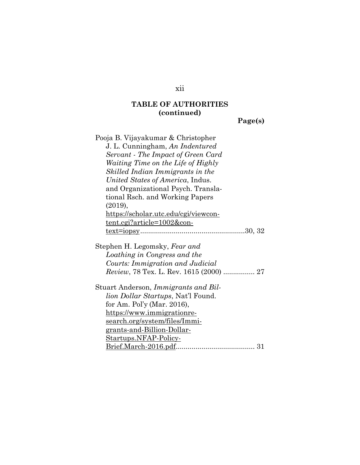**Page(s)**

| Pooja B. Vijayakumar & Christopher<br>J. L. Cunningham, An Indentured<br>Servant - The Impact of Green Card<br><i>Waiting Time on the Life of Highly</i><br>Skilled Indian Immigrants in the<br>United States of America, Indus.<br>and Organizational Psych. Transla-<br>tional Rsch. and Working Papers |
|-----------------------------------------------------------------------------------------------------------------------------------------------------------------------------------------------------------------------------------------------------------------------------------------------------------|
|                                                                                                                                                                                                                                                                                                           |
| (2019),<br>https://scholar.utc.edu/cgi/viewcon-                                                                                                                                                                                                                                                           |
| <u>tent.cgi?article=1002&amp;con-</u>                                                                                                                                                                                                                                                                     |
|                                                                                                                                                                                                                                                                                                           |
|                                                                                                                                                                                                                                                                                                           |
| Stephen H. Legomsky, Fear and                                                                                                                                                                                                                                                                             |
| Loathing in Congress and the                                                                                                                                                                                                                                                                              |
| Courts: Immigration and Judicial                                                                                                                                                                                                                                                                          |
| Review, 78 Tex. L. Rev. 1615 (2000)  27                                                                                                                                                                                                                                                                   |
| Stuart Anderson, Immigrants and Bil-                                                                                                                                                                                                                                                                      |
| lion Dollar Startups, Nat'l Found.                                                                                                                                                                                                                                                                        |
| for Am. Pol'y (Mar. 2016),                                                                                                                                                                                                                                                                                |
| https://www.immigrationre-                                                                                                                                                                                                                                                                                |
| <u>search.org/system/files/Immi-</u>                                                                                                                                                                                                                                                                      |
| <u>grants-and-Billion-Dollar-</u>                                                                                                                                                                                                                                                                         |
| Startups.NFAP-Policy-                                                                                                                                                                                                                                                                                     |
|                                                                                                                                                                                                                                                                                                           |

xii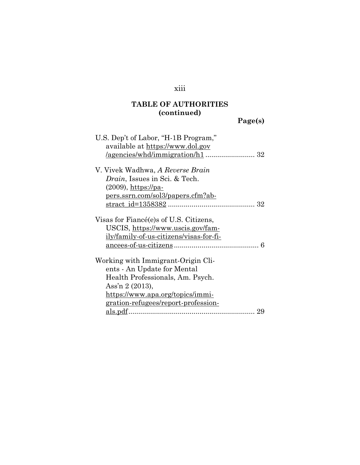# xiii

# **TABLE OF AUTHORITIES (continued)**

**Page(s)**

| U.S. Dep't of Labor, "H-1B Program,"           |
|------------------------------------------------|
| available at https://www.dol.gov               |
|                                                |
|                                                |
| V. Vivek Wadhwa, A Reverse Brain               |
| <i>Drain</i> , Issues in Sci. & Tech.          |
| $(2009)$ , https://pa-                         |
| <u>pers.ssrn.com/sol3/papers.cfm?ab-</u>       |
|                                                |
|                                                |
| Visas for Fiancé(e)s of U.S. Citizens,         |
| USCIS, https://www.uscis.gov/fam-              |
| <u>ily/family-of-us-citizens/visas-for-fi-</u> |
|                                                |
|                                                |
| Working with Immigrant-Origin Cli-             |
| ents - An Update for Mental                    |
| Health Professionals, Am. Psych.               |
| Ass'n 2 (2013),                                |
| https://www.apa.org/topics/immi-               |
| <u>gration-refugees/report-profession-</u>     |
|                                                |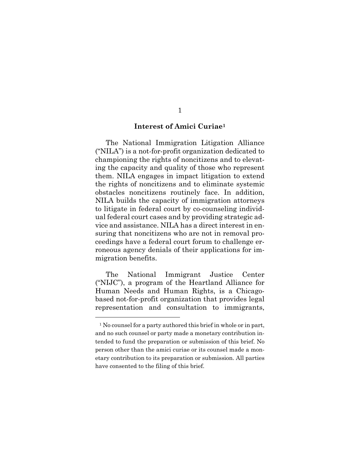#### **Interest of Amici Curiae1**

The National Immigration Litigation Alliance ("NILA") is a not-for-profit organization dedicated to championing the rights of noncitizens and to elevating the capacity and quality of those who represent them. NILA engages in impact litigation to extend the rights of noncitizens and to eliminate systemic obstacles noncitizens routinely face. In addition, NILA builds the capacity of immigration attorneys to litigate in federal court by co-counseling individual federal court cases and by providing strategic advice and assistance. NILA has a direct interest in ensuring that noncitizens who are not in removal proceedings have a federal court forum to challenge erroneous agency denials of their applications for immigration benefits.

The National Immigrant Justice Center ("NIJC"), a program of the Heartland Alliance for Human Needs and Human Rights, is a Chicagobased not-for-profit organization that provides legal representation and consultation to immigrants,

1

<sup>&</sup>lt;sup>1</sup> No counsel for a party authored this brief in whole or in part, and no such counsel or party made a monetary contribution intended to fund the preparation or submission of this brief. No person other than the amici curiae or its counsel made a monetary contribution to its preparation or submission. All parties have consented to the filing of this brief.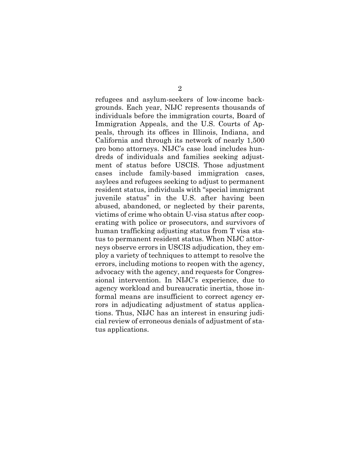refugees and asylum-seekers of low-income backgrounds. Each year, NIJC represents thousands of individuals before the immigration courts, Board of Immigration Appeals, and the U.S. Courts of Appeals, through its offices in Illinois, Indiana, and California and through its network of nearly 1,500 pro bono attorneys. NIJC's case load includes hundreds of individuals and families seeking adjustment of status before USCIS. Those adjustment cases include family-based immigration cases, asylees and refugees seeking to adjust to permanent resident status, individuals with "special immigrant juvenile status" in the U.S. after having been abused, abandoned, or neglected by their parents, victims of crime who obtain U-visa status after cooperating with police or prosecutors, and survivors of human trafficking adjusting status from T visa status to permanent resident status. When NIJC attorneys observe errors in USCIS adjudication, they employ a variety of techniques to attempt to resolve the errors, including motions to reopen with the agency, advocacy with the agency, and requests for Congressional intervention. In NIJC's experience, due to agency workload and bureaucratic inertia, those informal means are insufficient to correct agency errors in adjudicating adjustment of status applications. Thus, NIJC has an interest in ensuring judicial review of erroneous denials of adjustment of status applications.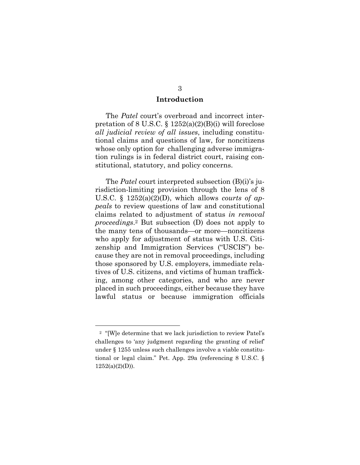#### **Introduction**

The *Patel* court's overbroad and incorrect interpretation of 8 U.S.C.  $\S 1252(a)(2)(B)(i)$  will foreclose *all judicial review of all issues*, including constitutional claims and questions of law, for noncitizens whose only option for challenging adverse immigration rulings is in federal district court, raising constitutional, statutory, and policy concerns.

The *Patel* court interpreted subsection (B)(i)'s jurisdiction-limiting provision through the lens of 8 U.S.C. § 1252(a)(2)(D), which allows *courts of appeals* to review questions of law and constitutional claims related to adjustment of status *in removal proceedings*.2 But subsection (D) does not apply to the many tens of thousands—or more—noncitizens who apply for adjustment of status with U.S. Citizenship and Immigration Services ("USCIS") because they are not in removal proceedings, including those sponsored by U.S. employers, immediate relatives of U.S. citizens, and victims of human trafficking, among other categories, and who are never placed in such proceedings, either because they have lawful status or because immigration officials

<sup>2 &</sup>quot;[W]e determine that we lack jurisdiction to review Patel's challenges to 'any judgment regarding the granting of relief' under § 1255 unless such challenges involve a viable constitutional or legal claim." Pet. App. 29a (referencing 8 U.S.C. §  $1252(a)(2)(D)$ ).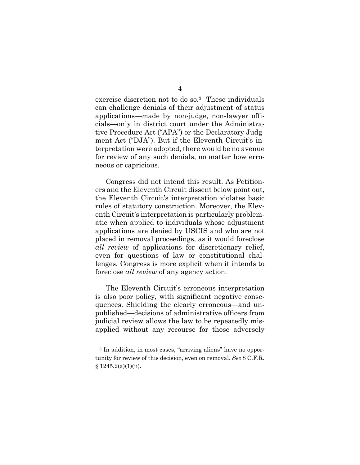exercise discretion not to do so.3 These individuals can challenge denials of their adjustment of status applications—made by non-judge, non-lawyer officials—only in district court under the Administrative Procedure Act ("APA") or the Declaratory Judgment Act ("DJA"). But if the Eleventh Circuit's interpretation were adopted, there would be no avenue for review of any such denials, no matter how erroneous or capricious.

Congress did not intend this result. As Petitioners and the Eleventh Circuit dissent below point out, the Eleventh Circuit's interpretation violates basic rules of statutory construction. Moreover, the Eleventh Circuit's interpretation is particularly problematic when applied to individuals whose adjustment applications are denied by USCIS and who are not placed in removal proceedings, as it would foreclose *all review* of applications for discretionary relief, even for questions of law or constitutional challenges. Congress is more explicit when it intends to foreclose *all review* of any agency action.

The Eleventh Circuit's erroneous interpretation is also poor policy, with significant negative consequences. Shielding the clearly erroneous—and unpublished—decisions of administrative officers from judicial review allows the law to be repeatedly misapplied without any recourse for those adversely

<sup>3</sup> In addition, in most cases, "arriving aliens" have no opportunity for review of this decision, even on removal. *See* 8 C.F.R.  $$1245.2(a)(1)(ii).$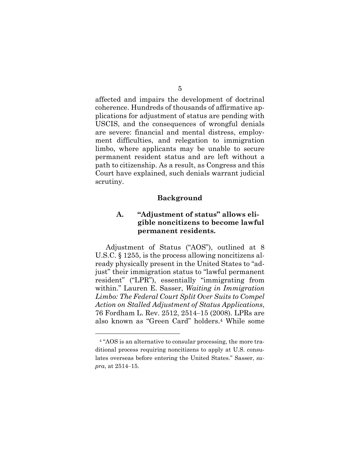affected and impairs the development of doctrinal coherence. Hundreds of thousands of affirmative applications for adjustment of status are pending with USCIS, and the consequences of wrongful denials are severe: financial and mental distress, employment difficulties, and relegation to immigration limbo, where applicants may be unable to secure permanent resident status and are left without a path to citizenship. As a result, as Congress and this Court have explained, such denials warrant judicial scrutiny.

#### **Background**

#### **A. "Adjustment of status" allows eligible noncitizens to become lawful permanent residents.**

Adjustment of Status ("AOS"), outlined at 8 U.S.C. § 1255, is the process allowing noncitizens already physically present in the United States to "adjust" their immigration status to "lawful permanent resident" ("LPR"), essentially "immigrating from within." Lauren E. Sasser, *Waiting in Immigration Limbo: The Federal Court Split Over Suits to Compel Action on Stalled Adjustment of Status Applications*, 76 Fordham L. Rev. 2512, 2514‒15 (2008)*.* LPRs are also known as "Green Card" holders.4 While some

<sup>4 &</sup>quot;AOS is an alternative to consular processing, the more traditional process requiring noncitizens to apply at U.S. consulates overseas before entering the United States." Sasser, *supra*, at 2514‒15.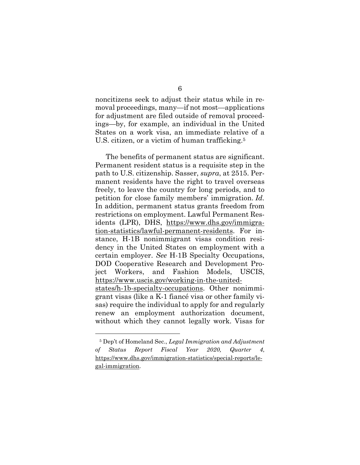noncitizens seek to adjust their status while in removal proceedings, many—if not most—applications for adjustment are filed outside of removal proceedings—by, for example, an individual in the United States on a work visa, an immediate relative of a U.S. citizen, or a victim of human trafficking.<sup>5</sup>

The benefits of permanent status are significant. Permanent resident status is a requisite step in the path to U.S. citizenship. Sasser, *supra*, at 2515. Permanent residents have the right to travel overseas freely, to leave the country for long periods, and to petition for close family members' immigration. *Id.*  In addition, permanent status grants freedom from restrictions on employment. Lawful Permanent Residents (LPR), DHS, https://www.dhs.gov/immigration-statistics/lawful-permanent-residents. For instance, H-1B nonimmigrant visas condition residency in the United States on employment with a certain employer. *See* H-1B Specialty Occupations, DOD Cooperative Research and Development Project Workers, and Fashion Models, USCIS, https://www.uscis.gov/working-in-the-unitedstates/h-1b-specialty-occupations. Other nonimmigrant visas (like a K-1 fiancé visa or other family visas) require the individual to apply for and regularly renew an employment authorization document, without which they cannot legally work. Visas for

<sup>5</sup> Dep't of Homeland Sec., *Legal Immigration and Adjustment of Status Report Fiscal Year 2020, Quarter 4*, https://www.dhs.gov/immigration-statistics/special-reports/legal-immigration.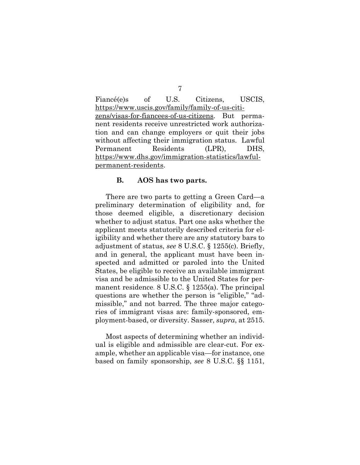Fiancé(e)s of U.S. Citizens, USCIS, https://www.uscis.gov/family/family-of-us-citizens/visas-for-fiancees-of-us-citizens. But permanent residents receive unrestricted work authorization and can change employers or quit their jobs without affecting their immigration status. Lawful Permanent Residents (LPR), DHS, https://www.dhs.gov/immigration-statistics/lawfulpermanent-residents.

#### **B. AOS has two parts.**

There are two parts to getting a Green Card—a preliminary determination of eligibility and, for those deemed eligible, a discretionary decision whether to adjust status. Part one asks whether the applicant meets statutorily described criteria for eligibility and whether there are any statutory bars to adjustment of status, *see* 8 U.S.C. § 1255(c). Briefly, and in general, the applicant must have been inspected and admitted or paroled into the United States, be eligible to receive an available immigrant visa and be admissible to the United States for permanent residence. 8 U.S.C. § 1255(a). The principal questions are whether the person is "eligible," "admissible," and not barred. The three major categories of immigrant visas are: family-sponsored, employment-based, or diversity. Sasser, *supra*, at 2515.

Most aspects of determining whether an individual is eligible and admissible are clear-cut. For example, whether an applicable visa—for instance, one based on family sponsorship, *see* 8 U.S.C. §§ 1151,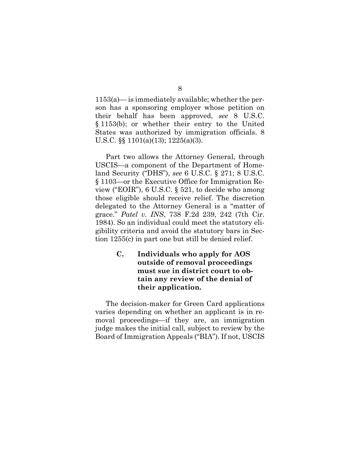1153(a)— is immediately available; whether the person has a sponsoring employer whose petition on their behalf has been approved, *see* 8 U.S.C. § 1153(b); or whether their entry to the United States was authorized by immigration officials. 8 U.S.C. §§ 1101(a)(13); 1225(a)(3).

Part two allows the Attorney General, through USCIS—a component of the Department of Homeland Security ("DHS"), *see* 6 U.S.C. § 271; 8 U.S.C. § 1103—or the Executive Office for Immigration Review ("EOIR"), 6 U.S.C. § 521, to decide who among those eligible should receive relief. The discretion delegated to the Attorney General is a "matter of grace." *Patel v. INS*, 738 F.2d 239, 242 (7th Cir. 1984). So an individual could meet the statutory eligibility criteria and avoid the statutory bars in Section 1255(c) in part one but still be denied relief.

> **C. Individuals who apply for AOS outside of removal proceedings must sue in district court to obtain any review of the denial of their application.**

The decision-maker for Green Card applications varies depending on whether an applicant is in removal proceedings—if they are, an immigration judge makes the initial call, subject to review by the Board of Immigration Appeals ("BIA"). If not, USCIS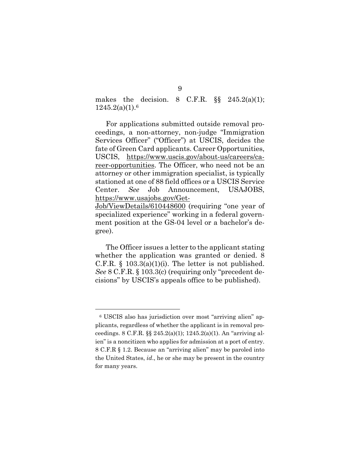makes the decision. 8 C.F.R.  $\S$  245.2(a)(1);  $1245.2(a)(1).6$ 

For applications submitted outside removal proceedings, a non-attorney, non-judge "Immigration Services Officer" ("Officer") at USCIS, decides the fate of Green Card applicants. Career Opportunities, USCIS, https://www.uscis.gov/about-us/careers/career-opportunities. The Officer, who need not be an attorney or other immigration specialist, is typically stationed at one of 88 field offices or a USCIS Service Center. *See* Job Announcement, USAJOBS, https://www.usajobs.gov/Get-

Job/ViewDetails/610448600 (requiring "one year of specialized experience" working in a federal government position at the GS-04 level or a bachelor's degree).

The Officer issues a letter to the applicant stating whether the application was granted or denied. 8 C.F.R.  $\S$  103.3(a)(1)(i). The letter is not published. *See* 8 C.F.R. § 103.3(c) (requiring only "precedent decisions" by USCIS's appeals office to be published).

<sup>6</sup> USCIS also has jurisdiction over most "arriving alien" applicants, regardless of whether the applicant is in removal proceedings. 8 C.F.R. §§ 245.2(a)(1); 1245.2(a)(1). An "arriving alien" is a noncitizen who applies for admission at a port of entry. 8 C.F.R § 1.2. Because an "arriving alien" may be paroled into the United States, *id*., he or she may be present in the country for many years.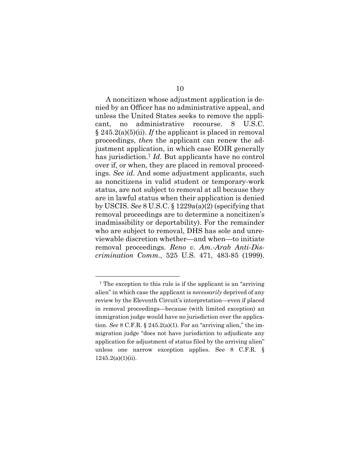A noncitizen whose adjustment application is denied by an Officer has no administrative appeal, and unless the United States seeks to remove the applicant, no administrative recourse. 8 U.S.C. § 245.2(a)(5)(ii). *If* the applicant is placed in removal proceedings, *then* the applicant can renew the adjustment application, in which case EOIR generally has jurisdiction.7 *Id*. But applicants have no control over if, or when, they are placed in removal proceedings. *See id*. And some adjustment applicants, such as noncitizens in valid student or temporary-work status, are not subject to removal at all because they are in lawful status when their application is denied by USCIS. *See* 8 U.S.C. § 1229a(a)(2) (specifying that removal proceedings are to determine a noncitizen's inadmissibility or deportability). For the remainder who are subject to removal, DHS has sole and unreviewable discretion whether—and when—to initiate removal proceedings. *Reno v. Am.-Arab Anti-Discrimination Comm.*, 525 U.S. 471, 483-85 (1999).

<sup>7</sup> The exception to this rule is if the applicant is an "arriving alien" in which case the applicant is *necessarily* deprived of any review by the Eleventh Circuit's interpretation—even if placed in removal proceedings—because (with limited exception) an immigration judge would have no jurisdiction over the application. *See* 8 C.F.R. § 245.2(a)(1). For an "arriving alien," the immigration judge "does not have jurisdiction to adjudicate any application for adjustment of status filed by the arriving alien" unless one narrow exception applies. See 8 C.F.R. § 1245.2(a)(1)(ii).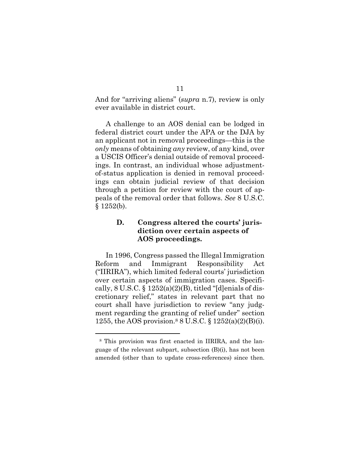And for "arriving aliens" (*supra* n.7), review is only ever available in district court.

A challenge to an AOS denial can be lodged in federal district court under the APA or the DJA by an applicant not in removal proceedings—this is the *only* means of obtaining *any* review, of any kind, over a USCIS Officer's denial outside of removal proceedings. In contrast, an individual whose adjustmentof-status application is denied in removal proceedings can obtain judicial review of that decision through a petition for review with the court of appeals of the removal order that follows. *See* 8 U.S.C.  $§ 1252(b).$ 

#### **D. Congress altered the courts' jurisdiction over certain aspects of AOS proceedings.**

In 1996, Congress passed the Illegal Immigration Reform and Immigrant Responsibility Act ("IIRIRA"), which limited federal courts' jurisdiction over certain aspects of immigration cases. Specifically,  $8 \text{ U.S.C.} \$  $1252(a)(2)(B)$ , titled "[d]enials of discretionary relief," states in relevant part that no court shall have jurisdiction to review "any judgment regarding the granting of relief under" section 1255, the AOS provision.<sup>8</sup> 8 U.S.C.  $\S 1252(a)(2)(B)(i)$ .

<sup>8</sup> This provision was first enacted in IIRIRA, and the language of the relevant subpart, subsection (B)(i), has not been amended (other than to update cross-references) since then.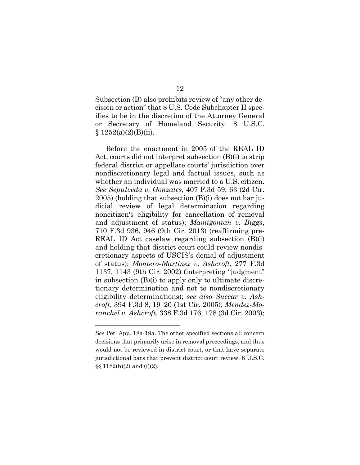Subsection (B) also prohibits review of "any other decision or action" that 8 U.S. Code Subchapter II specifies to be in the discretion of the Attorney General or Secretary of Homeland Security. 8 U.S.C.  $§ 1252(a)(2)(B)(ii).$ 

Before the enactment in 2005 of the REAL ID Act, courts did not interpret subsection (B)(i) to strip federal district or appellate courts' jurisdiction over nondiscretionary legal and factual issues, such as whether an individual was married to a U.S. citizen. *See Sepulveda v. Gonzales*, 407 F.3d 59, 63 (2d Cir. 2005) (holding that subsection (B)(i) does not bar judicial review of legal determination regarding noncitizen's eligibility for cancellation of removal and adjustment of status); *Mamigonian v. Biggs*, 710 F.3d 936, 946 (9th Cir. 2013) (reaffirming pre-REAL ID Act caselaw regarding subsection (B)(i) and holding that district court could review nondiscretionary aspects of USCIS's denial of adjustment of status); *Montero-Martinez v. Ashcroft*, 277 F.3d 1137, 1143 (9th Cir. 2002) (interpreting "judgment" in subsection (B)(i) to apply only to ultimate discretionary determination and not to nondiscretionary eligibility determinations); *see also Succar v. Ashcroft*, 394 F.3d 8, 19‒20 (1st Cir. 2005); *Mendez-Moranchel v. Ashcroft*, 338 F.3d 176, 178 (3d Cir. 2003);

*See* Pet. App. 18a-19a. The other specified sections all concern decisions that primarily arise in removal proceedings, and thus would not be reviewed in district court, or that have separate jurisdictional bars that prevent district court review. 8 U.S.C. §§ 1182(h)(2) and (i)(2).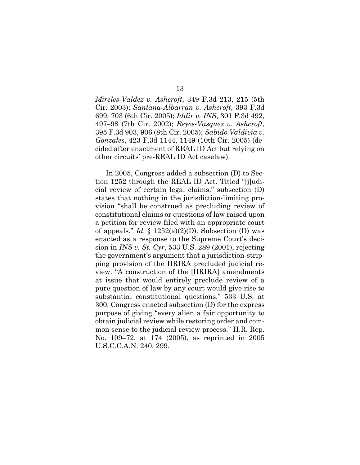*Mireles-Valdez v. Ashcroft*, 349 F.3d 213, 215 (5th Cir. 2003); *Santana-Albarran v. Ashcroft*, 393 F.3d 699, 703 (6th Cir. 2005); *Iddir v. INS*, 301 F.3d 492, 497‒98 (7th Cir. 2002); *Reyes-Vasquez v. Ashcroft*, 395 F.3d 903, 906 (8th Cir. 2005); *Sabido Valdivia v. Gonzales*, 423 F.3d 1144, 1149 (10th Cir. 2005) (decided after enactment of REAL ID Act but relying on other circuits' pre-REAL ID Act caselaw).

In 2005, Congress added a subsection (D) to Section 1252 through the REAL ID Act. Titled "[j]udicial review of certain legal claims," subsection (D) states that nothing in the jurisdiction-limiting provision "shall be construed as precluding review of constitutional claims or questions of law raised upon a petition for review filed with an appropriate court of appeals." *Id.*  $\S$  1252(a)(2)(D). Subsection (D) was enacted as a response to the Supreme Court's decision in *INS v. St. Cyr*, 533 U.S. 289 (2001), rejecting the government's argument that a jurisdiction-stripping provision of the IIRIRA precluded judicial review. "A construction of the [IIRIRA] amendments at issue that would entirely preclude review of a pure question of law by any court would give rise to substantial constitutional questions." 533 U.S. at 300. Congress enacted subsection (D) for the express purpose of giving "every alien a fair opportunity to obtain judicial review while restoring order and common sense to the judicial review process." H.R. Rep. No. 109–72, at 174 (2005), as reprinted in 2005 U.S.C.C.A.N. 240, 299.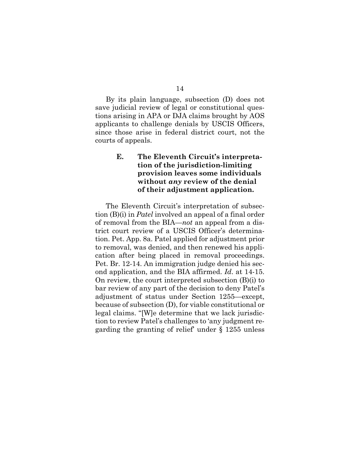14

By its plain language, subsection (D) does not save judicial review of legal or constitutional questions arising in APA or DJA claims brought by AOS applicants to challenge denials by USCIS Officers, since those arise in federal district court, not the courts of appeals.

#### **E. The Eleventh Circuit's interpretation of the jurisdiction-limiting provision leaves some individuals without** *any* **review of the denial of their adjustment application.**

The Eleventh Circuit's interpretation of subsection (B)(i) in *Patel* involved an appeal of a final order of removal from the BIA—*not* an appeal from a district court review of a USCIS Officer's determination. Pet. App. 8a. Patel applied for adjustment prior to removal, was denied, and then renewed his application after being placed in removal proceedings. Pet. Br. 12-14. An immigration judge denied his second application, and the BIA affirmed. *Id*. at 14-15. On review, the court interpreted subsection (B)(i) to bar review of any part of the decision to deny Patel's adjustment of status under Section 1255—except, because of subsection (D), for viable constitutional or legal claims. "[W]e determine that we lack jurisdiction to review Patel's challenges to 'any judgment regarding the granting of relief' under § 1255 unless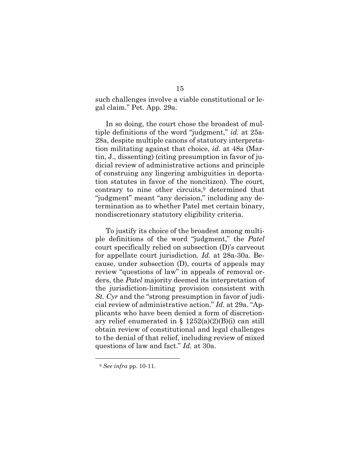such challenges involve a viable constitutional or legal claim." Pet. App*.* 29a.

In so doing, the court chose the broadest of multiple definitions of the word "judgment," *id.* at 25a-28a, despite multiple canons of statutory interpretation militating against that choice, *id.* at 48a (Martin, J., dissenting) (citing presumption in favor of judicial review of administrative actions and principle of construing any lingering ambiguities in deportation statutes in favor of the noncitizen). The court, contrary to nine other circuits, $9$  determined that "judgment" meant "any decision," including any determination as to whether Patel met certain binary, nondiscretionary statutory eligibility criteria.

To justify its choice of the broadest among multiple definitions of the word "judgment," the *Patel* court specifically relied on subsection (D)'s carveout for appellate court jurisdiction. *Id.* at 28a-30a. Because, under subsection (D), courts of appeals may review "questions of law" in appeals of removal orders, the *Patel* majority deemed its interpretation of the jurisdiction-limiting provision consistent with *St. Cyr* and the "strong presumption in favor of judicial review of administrative action." *Id.* at 29a. "Applicants who have been denied a form of discretionary relief enumerated in  $\S 1252(a)(2)(B)(i)$  can still obtain review of constitutional and legal challenges to the denial of that relief, including review of mixed questions of law and fact." *Id.* at 30a.

<sup>9</sup> *See infra* pp. 10-11.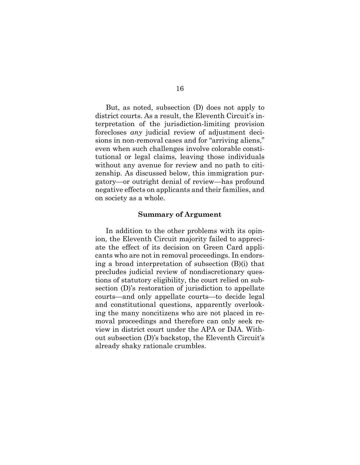But, as noted, subsection (D) does not apply to district courts. As a result, the Eleventh Circuit's interpretation of the jurisdiction-limiting provision forecloses *any* judicial review of adjustment decisions in non-removal cases and for "arriving aliens," even when such challenges involve colorable constitutional or legal claims, leaving those individuals without any avenue for review and no path to citizenship. As discussed below, this immigration purgatory—or outright denial of review—has profound negative effects on applicants and their families, and on society as a whole.

#### **Summary of Argument**

In addition to the other problems with its opinion, the Eleventh Circuit majority failed to appreciate the effect of its decision on Green Card applicants who are not in removal proceedings. In endorsing a broad interpretation of subsection (B)(i) that precludes judicial review of nondiscretionary questions of statutory eligibility, the court relied on subsection (D)'s restoration of jurisdiction to appellate courts—and only appellate courts—to decide legal and constitutional questions, apparently overlooking the many noncitizens who are not placed in removal proceedings and therefore can only seek review in district court under the APA or DJA. Without subsection (D)'s backstop, the Eleventh Circuit's already shaky rationale crumbles.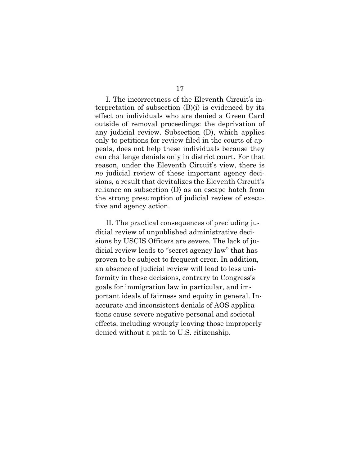I. The incorrectness of the Eleventh Circuit's interpretation of subsection (B)(i) is evidenced by its effect on individuals who are denied a Green Card outside of removal proceedings: the deprivation of any judicial review. Subsection (D), which applies only to petitions for review filed in the courts of appeals, does not help these individuals because they can challenge denials only in district court. For that reason, under the Eleventh Circuit's view, there is *no* judicial review of these important agency decisions, a result that devitalizes the Eleventh Circuit's reliance on subsection (D) as an escape hatch from the strong presumption of judicial review of executive and agency action.

II. The practical consequences of precluding judicial review of unpublished administrative decisions by USCIS Officers are severe. The lack of judicial review leads to "secret agency law" that has proven to be subject to frequent error. In addition, an absence of judicial review will lead to less uniformity in these decisions, contrary to Congress's goals for immigration law in particular, and important ideals of fairness and equity in general. Inaccurate and inconsistent denials of AOS applications cause severe negative personal and societal effects, including wrongly leaving those improperly denied without a path to U.S. citizenship.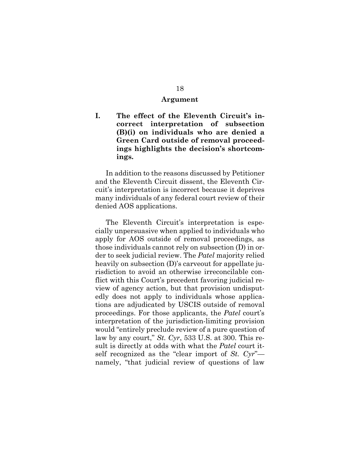#### **Argument**

**I. The effect of the Eleventh Circuit's incorrect interpretation of subsection (B)(i) on individuals who are denied a Green Card outside of removal proceedings highlights the decision's shortcomings.** 

In addition to the reasons discussed by Petitioner and the Eleventh Circuit dissent, the Eleventh Circuit's interpretation is incorrect because it deprives many individuals of any federal court review of their denied AOS applications.

The Eleventh Circuit's interpretation is especially unpersuasive when applied to individuals who apply for AOS outside of removal proceedings, as those individuals cannot rely on subsection (D) in order to seek judicial review. The *Patel* majority relied heavily on subsection (D)'s carveout for appellate jurisdiction to avoid an otherwise irreconcilable conflict with this Court's precedent favoring judicial review of agency action, but that provision undisputedly does not apply to individuals whose applications are adjudicated by USCIS outside of removal proceedings. For those applicants, the *Patel* court's interpretation of the jurisdiction-limiting provision would "entirely preclude review of a pure question of law by any court," *St. Cyr*, 533 U.S. at 300. This result is directly at odds with what the *Patel* court itself recognized as the "clear import of *St. Cyr*" namely, "that judicial review of questions of law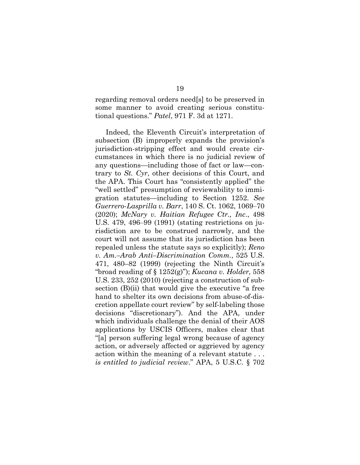regarding removal orders need[s] to be preserved in some manner to avoid creating serious constitutional questions." *Patel*, 971 F. 3d at 1271.

Indeed, the Eleventh Circuit's interpretation of subsection (B) improperly expands the provision's jurisdiction-stripping effect and would create circumstances in which there is no judicial review of any questions—including those of fact or law—contrary to *St. Cyr*, other decisions of this Court, and the APA. This Court has "consistently applied" the "well settled" presumption of reviewability to immigration statutes—including to Section 1252. *See Guerrero-Lasprilla v. Barr*, 140 S. Ct. 1062, 1069‒70 (2020); *McNary v. Haitian Refugee Ctr., Inc*., 498 U.S. 479, 496‒99 (1991) (stating restrictions on jurisdiction are to be construed narrowly, and the court will not assume that its jurisdiction has been repealed unless the statute says so explicitly); *Reno v. Am.–Arab Anti–Discrimination Comm.*, 525 U.S. 471, 480–82 (1999) (rejecting the Ninth Circuit's "broad reading of § 1252(g)"); *Kucana v. Holder,* 558 U.S. 233, 252 (2010) (rejecting a construction of subsection (B)(ii) that would give the executive "a free hand to shelter its own decisions from abuse-of-discretion appellate court review" by self-labeling those decisions "discretionary"). And the APA, under which individuals challenge the denial of their AOS applications by USCIS Officers, makes clear that "[a] person suffering legal wrong because of agency action, or adversely affected or aggrieved by agency action within the meaning of a relevant statute . . . *is entitled to judicial review*." APA, 5 U.S.C. § 702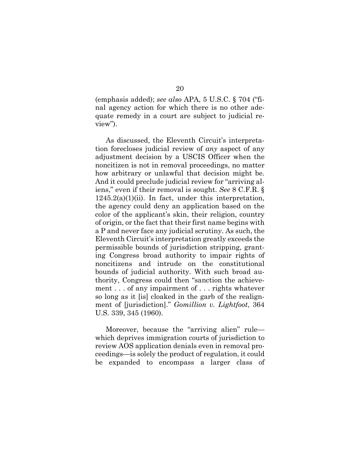(emphasis added); *see also* APA, 5 U.S.C. § 704 ("final agency action for which there is no other adequate remedy in a court are subject to judicial review").

As discussed, the Eleventh Circuit's interpretation forecloses judicial review of *any* aspect of any adjustment decision by a USCIS Officer when the noncitizen is not in removal proceedings, no matter how arbitrary or unlawful that decision might be. And it could preclude judicial review for "arriving aliens," even if their removal is sought. *See* 8 C.F.R. §  $1245.2(a)(1)(ii)$ . In fact, under this interpretation, the agency could deny an application based on the color of the applicant's skin, their religion, country of origin, or the fact that their first name begins with a P and never face any judicial scrutiny. As such, the Eleventh Circuit's interpretation greatly exceeds the permissible bounds of jurisdiction stripping, granting Congress broad authority to impair rights of noncitizens and intrude on the constitutional bounds of judicial authority. With such broad authority, Congress could then "sanction the achievement . . . of any impairment of . . . rights whatever so long as it [is] cloaked in the garb of the realignment of [jurisdiction]." *Gomillion v. Lightfoot*, 364 U.S. 339, 345 (1960).

Moreover, because the "arriving alien" rule which deprives immigration courts of jurisdiction to review AOS application denials even in removal proceedings—is solely the product of regulation, it could be expanded to encompass a larger class of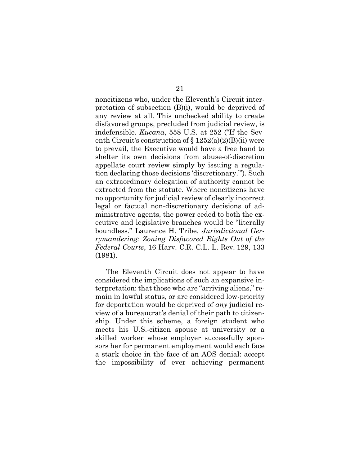noncitizens who, under the Eleventh's Circuit interpretation of subsection (B)(i), would be deprived of any review at all. This unchecked ability to create disfavored groups, precluded from judicial review, is indefensible. *Kucana*, 558 U.S. at 252 ("If the Seventh Circuit's construction of  $\S 1252(a)(2)(B)(ii)$  were to prevail, the Executive would have a free hand to shelter its own decisions from abuse-of-discretion appellate court review simply by issuing a regulation declaring those decisions 'discretionary.'"). Such an extraordinary delegation of authority cannot be extracted from the statute. Where noncitizens have no opportunity for judicial review of clearly incorrect legal or factual non-discretionary decisions of administrative agents, the power ceded to both the executive and legislative branches would be "literally boundless." Laurence H. Tribe, *Jurisdictional Gerrymandering: Zoning Disfavored Rights Out of the Federal Courts*, 16 Harv. C.R.-C.L. L. Rev. 129, 133 (1981).

The Eleventh Circuit does not appear to have considered the implications of such an expansive interpretation: that those who are "arriving aliens," remain in lawful status, or are considered low-priority for deportation would be deprived of *any* judicial review of a bureaucrat's denial of their path to citizenship. Under this scheme, a foreign student who meets his U.S.-citizen spouse at university or a skilled worker whose employer successfully sponsors her for permanent employment would each face a stark choice in the face of an AOS denial: accept the impossibility of ever achieving permanent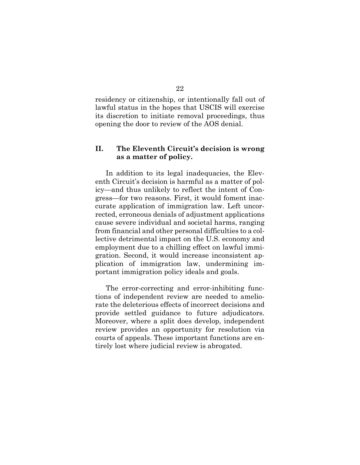residency or citizenship, or intentionally fall out of lawful status in the hopes that USCIS will exercise its discretion to initiate removal proceedings, thus opening the door to review of the AOS denial.

#### **II. The Eleventh Circuit's decision is wrong as a matter of policy.**

In addition to its legal inadequacies, the Eleventh Circuit's decision is harmful as a matter of policy—and thus unlikely to reflect the intent of Congress—for two reasons. First, it would foment inaccurate application of immigration law. Left uncorrected, erroneous denials of adjustment applications cause severe individual and societal harms, ranging from financial and other personal difficulties to a collective detrimental impact on the U.S. economy and employment due to a chilling effect on lawful immigration. Second, it would increase inconsistent application of immigration law, undermining important immigration policy ideals and goals.

The error-correcting and error-inhibiting functions of independent review are needed to ameliorate the deleterious effects of incorrect decisions and provide settled guidance to future adjudicators. Moreover, where a split does develop, independent review provides an opportunity for resolution via courts of appeals. These important functions are entirely lost where judicial review is abrogated.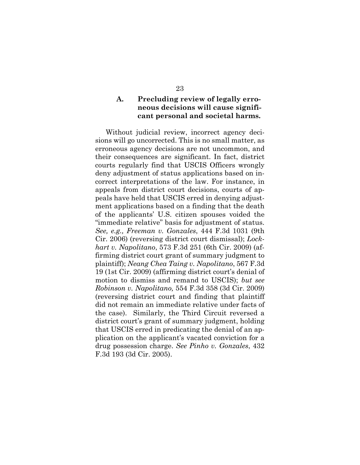#### **A. Precluding review of legally erroneous decisions will cause significant personal and societal harms.**

Without judicial review, incorrect agency decisions will go uncorrected. This is no small matter, as erroneous agency decisions are not uncommon, and their consequences are significant. In fact, district courts regularly find that USCIS Officers wrongly deny adjustment of status applications based on incorrect interpretations of the law. For instance, in appeals from district court decisions, courts of appeals have held that USCIS erred in denying adjustment applications based on a finding that the death of the applicants' U.S. citizen spouses voided the "immediate relative" basis for adjustment of status. *See, e.g., Freeman v. Gonzales*, 444 F.3d 1031 (9th Cir. 2006) (reversing district court dismissal); *Lockhart v. Napolitano*, 573 F.3d 251 (6th Cir. 2009) (affirming district court grant of summary judgment to plaintiff); *Neang Chea Taing v. Napolitano*, 567 F.3d 19 (1st Cir. 2009) (affirming district court's denial of motion to dismiss and remand to USCIS); *but see Robinson v. Napolitano,* 554 F.3d 358 (3d Cir. 2009) (reversing district court and finding that plaintiff did not remain an immediate relative under facts of the case). Similarly, the Third Circuit reversed a district court's grant of summary judgment, holding that USCIS erred in predicating the denial of an application on the applicant's vacated conviction for a drug possession charge. *See Pinho v. Gonzales*, 432 F.3d 193 (3d Cir. 2005).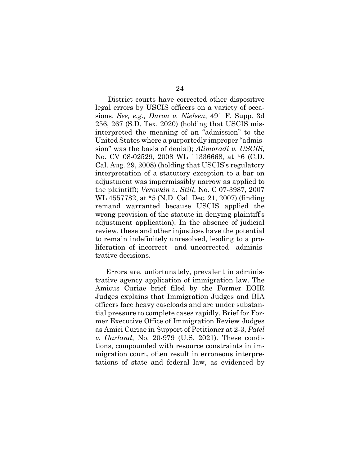District courts have corrected other dispositive legal errors by USCIS officers on a variety of occasions. *See, e.g., Duron v. Nielsen*, 491 F. Supp. 3d 256, 267 (S.D. Tex. 2020) (holding that USCIS misinterpreted the meaning of an "admission" to the United States where a purportedly improper "admission" was the basis of denial); *Alimoradi v. USCIS*, No. CV 08-02529, 2008 WL 11336668, at \*6 (C.D. Cal. Aug. 29, 2008) (holding that USCIS's regulatory interpretation of a statutory exception to a bar on adjustment was impermissibly narrow as applied to the plaintiff); *Verovkin v. Still*, No. C 07-3987, 2007 WL 4557782, at \*5 (N.D. Cal. Dec. 21, 2007) (finding remand warranted because USCIS applied the wrong provision of the statute in denying plaintiff's adjustment application). In the absence of judicial review, these and other injustices have the potential to remain indefinitely unresolved, leading to a proliferation of incorrect—and uncorrected—administrative decisions.

Errors are, unfortunately, prevalent in administrative agency application of immigration law. The Amicus Curiae brief filed by the Former EOIR Judges explains that Immigration Judges and BIA officers face heavy caseloads and are under substantial pressure to complete cases rapidly. Brief for Former Executive Office of Immigration Review Judges as Amici Curiae in Support of Petitioner at 2-3, *Patel v. Garland*, No. 20-979 (U.S. 2021). These conditions, compounded with resource constraints in immigration court, often result in erroneous interpretations of state and federal law, as evidenced by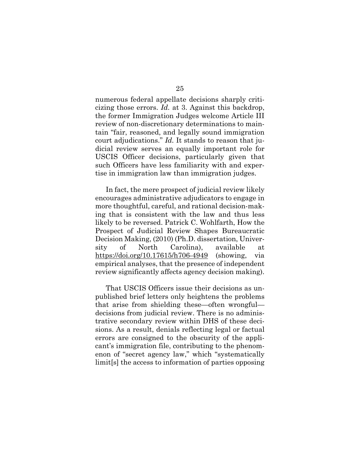numerous federal appellate decisions sharply criticizing those errors. *Id.* at 3. Against this backdrop, the former Immigration Judges welcome Article III review of non-discretionary determinations to maintain "fair, reasoned, and legally sound immigration court adjudications." *Id.* It stands to reason that judicial review serves an equally important role for USCIS Officer decisions, particularly given that such Officers have less familiarity with and expertise in immigration law than immigration judges.

In fact, the mere prospect of judicial review likely encourages administrative adjudicators to engage in more thoughtful, careful, and rational decision-making that is consistent with the law and thus less likely to be reversed. Patrick C. Wohlfarth, How the Prospect of Judicial Review Shapes Bureaucratic Decision Making, (2010) (Ph.D. dissertation, University of North Carolina), available at https://doi.org/10.17615/h706-4949 (showing, via empirical analyses, that the presence of independent review significantly affects agency decision making).

That USCIS Officers issue their decisions as unpublished brief letters only heightens the problems that arise from shielding these—often wrongful decisions from judicial review. There is no administrative secondary review within DHS of these decisions. As a result, denials reflecting legal or factual errors are consigned to the obscurity of the applicant's immigration file, contributing to the phenomenon of "secret agency law," which "systematically limit[s] the access to information of parties opposing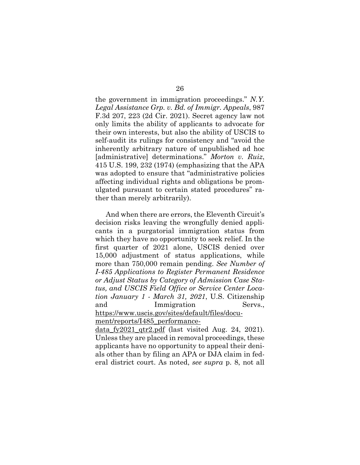the government in immigration proceedings." *N.Y. Legal Assistance Grp. v. Bd. of Immigr. Appeals*, 987 F.3d 207, 223 (2d Cir. 2021). Secret agency law not only limits the ability of applicants to advocate for their own interests, but also the ability of USCIS to self-audit its rulings for consistency and "avoid the inherently arbitrary nature of unpublished ad hoc [administrative] determinations." *Morton v. Ruiz*, 415 U.S. 199, 232 (1974) (emphasizing that the APA was adopted to ensure that "administrative policies affecting individual rights and obligations be promulgated pursuant to certain stated procedures" rather than merely arbitrarily).

And when there are errors, the Eleventh Circuit's decision risks leaving the wrongfully denied applicants in a purgatorial immigration status from which they have no opportunity to seek relief. In the first quarter of 2021 alone, USCIS denied over 15,000 adjustment of status applications, while more than 750,000 remain pending. *See Number of I-485 Applications to Register Permanent Residence or Adjust Status by Category of Admission Case Status, and USCIS Field Office or Service Center Location January 1 - March 31, 2021*, U.S. Citizenship and Immigration Servs., https://www.uscis.gov/sites/default/files/document/reports/I485\_performance-

data\_fy2021\_qtr2.pdf (last visited Aug. 24, 2021). Unless they are placed in removal proceedings, these applicants have no opportunity to appeal their denials other than by filing an APA or DJA claim in federal district court. As noted, *see supra* p. 8, not all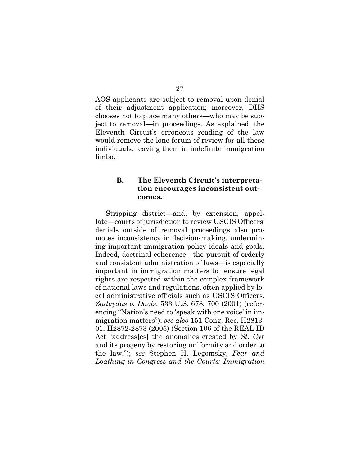AOS applicants are subject to removal upon denial of their adjustment application; moreover, DHS chooses not to place many others—who may be subject to removal—in proceedings. As explained, the Eleventh Circuit's erroneous reading of the law would remove the lone forum of review for all these individuals, leaving them in indefinite immigration limbo.

#### **B. The Eleventh Circuit's interpretation encourages inconsistent outcomes.**

Stripping district—and, by extension, appellate—courts of jurisdiction to review USCIS Officers' denials outside of removal proceedings also promotes inconsistency in decision-making, undermining important immigration policy ideals and goals. Indeed, doctrinal coherence—the pursuit of orderly and consistent administration of laws—is especially important in immigration matters to ensure legal rights are respected within the complex framework of national laws and regulations, often applied by local administrative officials such as USCIS Officers. *Zadvydas v. Davis*, 533 U.S. 678, 700 (2001) (referencing "Nation's need to 'speak with one voice' in immigration matters"); *see also* 151 Cong. Rec. H2813- 01, H2872-2873 (2005) (Section 106 of the REAL ID Act "address[es] the anomalies created by *St. Cyr* and its progeny by restoring uniformity and order to the law."); *see* Stephen H. Legomsky, *Fear and Loathing in Congress and the Courts: Immigration*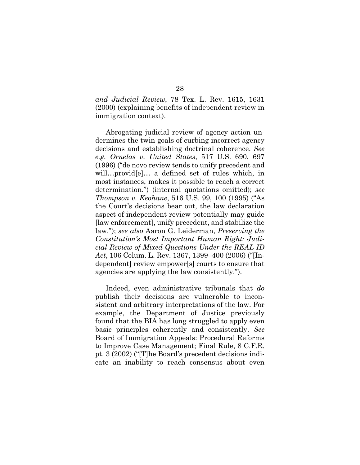*and Judicial Review*, 78 Tex. L. Rev. 1615, 1631 (2000) (explaining benefits of independent review in immigration context).

Abrogating judicial review of agency action undermines the twin goals of curbing incorrect agency decisions and establishing doctrinal coherence. *See e.g. Ornelas v. United States*, 517 U.S. 690, 697 (1996) ("de novo review tends to unify precedent and will…provid[e]… a defined set of rules which, in most instances, makes it possible to reach a correct determination.") (internal quotations omitted); *see Thompson v. Keohane*, 516 U.S. 99, 100 (1995) ("As the Court's decisions bear out, the law declaration aspect of independent review potentially may guide [law enforcement], unify precedent, and stabilize the law."); *see also* Aaron G. Leiderman, *Preserving the Constitution's Most Important Human Right: Judicial Review of Mixed Questions Under the REAL ID Act*, 106 Colum. L. Rev. 1367, 1399–400 (2006) ("[Independent] review empower[s] courts to ensure that agencies are applying the law consistently.").

Indeed, even administrative tribunals that *do*  publish their decisions are vulnerable to inconsistent and arbitrary interpretations of the law. For example, the Department of Justice previously found that the BIA has long struggled to apply even basic principles coherently and consistently. *See* Board of Immigration Appeals: Procedural Reforms to Improve Case Management; Final Rule, 8 C.F.R. pt. 3 (2002) ("[T]he Board's precedent decisions indicate an inability to reach consensus about even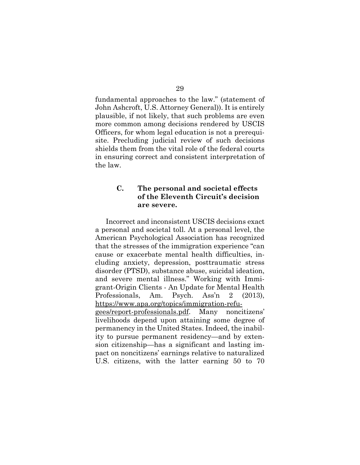fundamental approaches to the law." (statement of John Ashcroft, U.S. Attorney General)). It is entirely plausible, if not likely, that such problems are even more common among decisions rendered by USCIS Officers, for whom legal education is not a prerequisite. Precluding judicial review of such decisions shields them from the vital role of the federal courts in ensuring correct and consistent interpretation of the law.

#### **C. The personal and societal effects of the Eleventh Circuit's decision are severe.**

Incorrect and inconsistent USCIS decisions exact a personal and societal toll. At a personal level, the American Psychological Association has recognized that the stresses of the immigration experience "can cause or exacerbate mental health difficulties, including anxiety, depression, posttraumatic stress disorder (PTSD), substance abuse, suicidal ideation, and severe mental illness." Working with Immigrant-Origin Clients - An Update for Mental Health Professionals, Am. Psych. Ass'n 2 (2013), https://www.apa.org/topics/immigration-refugees/report-professionals.pdf. Many noncitizens' livelihoods depend upon attaining some degree of permanency in the United States. Indeed, the inability to pursue permanent residency—and by extension citizenship—has a significant and lasting impact on noncitizens' earnings relative to naturalized U.S. citizens, with the latter earning 50 to 70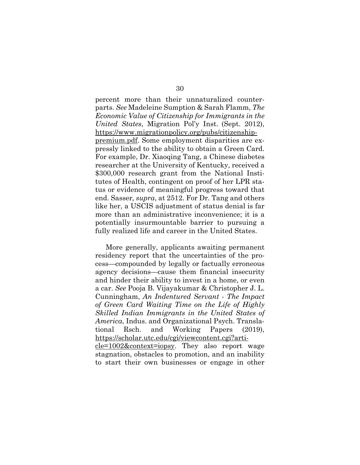percent more than their unnaturalized counterparts. *See* Madeleine Sumption & Sarah Flamm, *The Economic Value of Citizenship for Immigrants in the United States*, Migration Pol'y Inst. (Sept. 2012), https://www.migrationpolicy.org/pubs/citizenshippremium.pdf. Some employment disparities are expressly linked to the ability to obtain a Green Card. For example, Dr. Xiaoqing Tang, a Chinese diabetes researcher at the University of Kentucky, received a \$300,000 research grant from the National Institutes of Health, contingent on proof of her LPR status or evidence of meaningful progress toward that end. Sasser*, supra*, at 2512. For Dr. Tang and others like her, a USCIS adjustment of status denial is far more than an administrative inconvenience; it is a potentially insurmountable barrier to pursuing a fully realized life and career in the United States.

More generally, applicants awaiting permanent residency report that the uncertainties of the process—compounded by legally or factually erroneous agency decisions—cause them financial insecurity and hinder their ability to invest in a home, or even a car. *See* Pooja B. Vijayakumar & Christopher J. L. Cunningham, *An Indentured Servant - The Impact of Green Card Waiting Time on the Life of Highly Skilled Indian Immigrants in the United States of America*, Indus. and Organizational Psych. Translational Rsch. and Working Papers (2019), https://scholar.utc.edu/cgi/viewcontent.cgi?article=1002&context=iopsy. They also report wage stagnation, obstacles to promotion, and an inability to start their own businesses or engage in other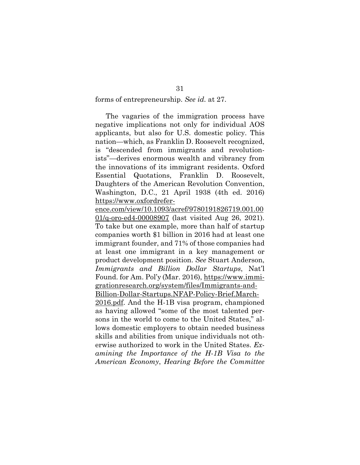#### forms of entrepreneurship. *See id.* at 27.

The vagaries of the immigration process have negative implications not only for individual AOS applicants, but also for U.S. domestic policy. This nation—which, as Franklin D. Roosevelt recognized, is "descended from immigrants and revolutionists"—derives enormous wealth and vibrancy from the innovations of its immigrant residents. Oxford Essential Quotations, Franklin D. Roosevelt, Daughters of the American Revolution Convention, Washington, D.C., 21 April 1938 (4th ed. 2016) https://www.oxfordrefer-

ence.com/view/10.1093/acref/9780191826719.001.00 01/q-oro-ed4-00008907 (last visited Aug 26, 2021). To take but one example, more than half of startup companies worth \$1 billion in 2016 had at least one immigrant founder, and 71% of those companies had at least one immigrant in a key management or product development position. *See* Stuart Anderson, *Immigrants and Billion Dollar Startups*, Nat'l Found. for Am. Pol'y (Mar. 2016), https://www.immigrationresearch.org/system/files/Immigrants-and-

Billion-Dollar-Startups.NFAP-Policy-Brief.March-2016.pdf. And the H-1B visa program, championed as having allowed "some of the most talented persons in the world to come to the United States," allows domestic employers to obtain needed business skills and abilities from unique individuals not otherwise authorized to work in the United States. *Examining the Importance of the H-1B Visa to the American Economy*, *Hearing Before the Committee*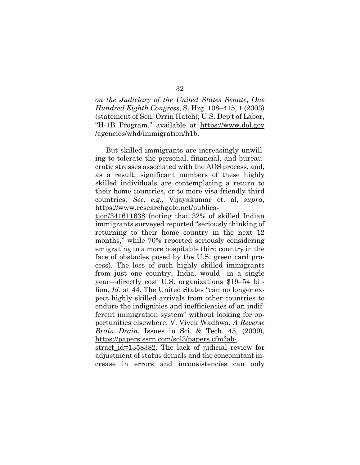*on the Judiciary of the United States Senate*, *One Hundred Eighth Congress*, S. Hrg. 108–415, 1 (2003) (statement of Sen. Orrin Hatch); U.S. Dep't of Labor, "H-1B Program," available at https://www.dol.gov /agencies/whd/immigration/h1b.

But skilled immigrants are increasingly unwilling to tolerate the personal, financial, and bureaucratic stresses associated with the AOS process, and, as a result, significant numbers of these highly skilled individuals are contemplating a return to their home countries, or to more visa-friendly third countries. *See, e.g.*, Vijayakumar et. al, *supra*, https://www.researchgate.net/publica-

tion/341611638 (noting that 32% of skilled Indian immigrants surveyed reported "seriously thinking of returning to their home country in the next 12 months," while 70% reported seriously considering emigrating to a more hospitable third country in the face of obstacles posed by the U.S. green card process). The loss of such highly skilled immigrants from just one country, India, would—in a single year—directly cost U.S. organizations \$19–54 billion. *Id*. at 44. The United States "can no longer expect highly skilled arrivals from other countries to endure the indignities and inefficiencies of an indifferent immigration system" without looking for opportunities elsewhere. V. Vivek Wadhwa, *A Reverse Brain Drain*, Issues in Sci. & Tech. 45, (2009), https://papers.ssrn.com/sol3/papers.cfm?ab-

stract\_id=1358382. The lack of judicial review for adjustment of status denials and the concomitant increase in errors and inconsistencies can only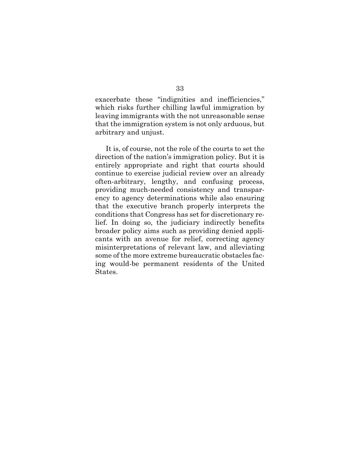exacerbate these "indignities and inefficiencies," which risks further chilling lawful immigration by leaving immigrants with the not unreasonable sense that the immigration system is not only arduous, but arbitrary and unjust.

It is, of course, not the role of the courts to set the direction of the nation's immigration policy. But it is entirely appropriate and right that courts should continue to exercise judicial review over an already often-arbitrary, lengthy, and confusing process, providing much-needed consistency and transparency to agency determinations while also ensuring that the executive branch properly interprets the conditions that Congress has set for discretionary relief. In doing so, the judiciary indirectly benefits broader policy aims such as providing denied applicants with an avenue for relief, correcting agency misinterpretations of relevant law, and alleviating some of the more extreme bureaucratic obstacles facing would-be permanent residents of the United States.